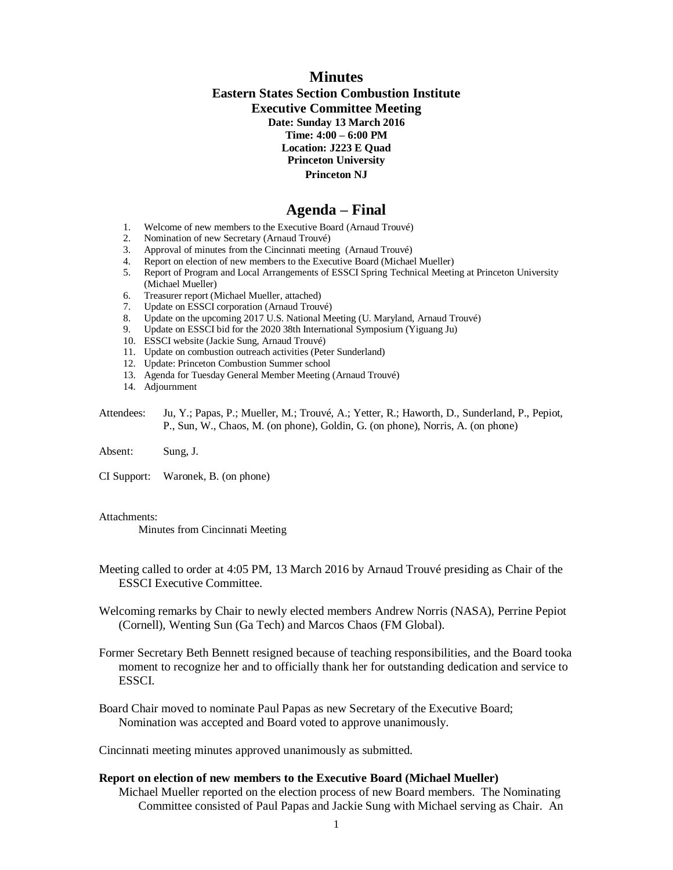## **Minutes Eastern States Section Combustion Institute Executive Committee Meeting Date: Sunday 13 March 2016 Time: 4:00 – 6:00 PM Location: J223 E Quad Princeton University Princeton NJ**

# **Agenda – Final**

- 1. Welcome of new members to the Executive Board (Arnaud Trouvé)<br>2. Nomination of new Secretary (Arnaud Trouvé)
- 2. Nomination of new Secretary (Arnaud Trouvé)
- 3. Approval of minutes from the Cincinnati meeting (Arnaud Trouvé)
- 4. Report on election of new members to the Executive Board (Michael Mueller)
- 5. Report of Program and Local Arrangements of ESSCI Spring Technical Meeting at Princeton University (Michael Mueller)
- 6. Treasurer report (Michael Mueller, attached)<br>7. Update on ESSCI corporation (Arnaud Trouv
- 7. Update on ESSCI corporation (Arnaud Trouvé)
- 8. Update on the upcoming 2017 U.S. National Meeting (U. Maryland, Arnaud Trouvé)<br>9. Update on ESSCI bid for the 2020 38th International Symposium (Yieuang Ju)
- 9. Update on ESSCI bid for the 2020 38th International Symposium (Yiguang Ju)
- 10. ESSCI website (Jackie Sung, Arnaud Trouvé)
- 11. Update on combustion outreach activities (Peter Sunderland)
- 12. Update: Princeton Combustion Summer school
- 13. Agenda for Tuesday General Member Meeting (Arnaud Trouvé)
- 14. Adjournment
- Attendees: Ju, Y.; Papas, P.; Mueller, M.; Trouvé, A.; Yetter, R.; Haworth, D., Sunderland, P., Pepiot, P., Sun, W., Chaos, M. (on phone), Goldin, G. (on phone), Norris, A. (on phone)
- Absent: Sung, J.
- CI Support: Waronek, B. (on phone)

#### Attachments:

Minutes from Cincinnati Meeting

- Meeting called to order at 4:05 PM, 13 March 2016 by Arnaud Trouvé presiding as Chair of the ESSCI Executive Committee.
- Welcoming remarks by Chair to newly elected members Andrew Norris (NASA), Perrine Pepiot (Cornell), Wenting Sun (Ga Tech) and Marcos Chaos (FM Global).
- Former Secretary Beth Bennett resigned because of teaching responsibilities, and the Board tooka moment to recognize her and to officially thank her for outstanding dedication and service to ESSCI.
- Board Chair moved to nominate Paul Papas as new Secretary of the Executive Board; Nomination was accepted and Board voted to approve unanimously.

Cincinnati meeting minutes approved unanimously as submitted.

#### **Report on election of new members to the Executive Board (Michael Mueller)**

Michael Mueller reported on the election process of new Board members. The Nominating Committee consisted of Paul Papas and Jackie Sung with Michael serving as Chair. An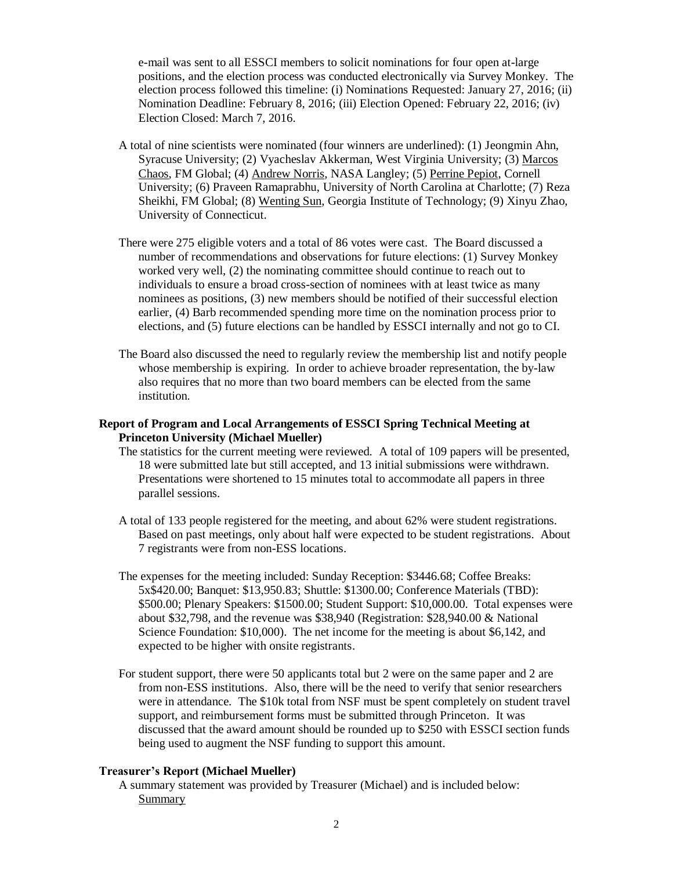e-mail was sent to all ESSCI members to solicit nominations for four open at-large positions, and the election process was conducted electronically via Survey Monkey. The election process followed this timeline: (i) Nominations Requested: January 27, 2016; (ii) Nomination Deadline: February 8, 2016; (iii) Election Opened: February 22, 2016; (iv) Election Closed: March 7, 2016.

- A total of nine scientists were nominated (four winners are underlined): (1) Jeongmin Ahn, Syracuse University; (2) Vyacheslav Akkerman, West Virginia University; (3) Marcos Chaos, FM Global; (4) Andrew Norris, NASA Langley; (5) Perrine Pepiot, Cornell University; (6) Praveen Ramaprabhu, University of North Carolina at Charlotte; (7) Reza Sheikhi, FM Global; (8) Wenting Sun, Georgia Institute of Technology; (9) Xinyu Zhao, University of Connecticut.
- There were 275 eligible voters and a total of 86 votes were cast. The Board discussed a number of recommendations and observations for future elections: (1) Survey Monkey worked very well, (2) the nominating committee should continue to reach out to individuals to ensure a broad cross-section of nominees with at least twice as many nominees as positions, (3) new members should be notified of their successful election earlier, (4) Barb recommended spending more time on the nomination process prior to elections, and (5) future elections can be handled by ESSCI internally and not go to CI.
- The Board also discussed the need to regularly review the membership list and notify people whose membership is expiring. In order to achieve broader representation, the by-law also requires that no more than two board members can be elected from the same institution.

## **Report of Program and Local Arrangements of ESSCI Spring Technical Meeting at Princeton University (Michael Mueller)**

- The statistics for the current meeting were reviewed. A total of 109 papers will be presented, 18 were submitted late but still accepted, and 13 initial submissions were withdrawn. Presentations were shortened to 15 minutes total to accommodate all papers in three parallel sessions.
- A total of 133 people registered for the meeting, and about 62% were student registrations. Based on past meetings, only about half were expected to be student registrations. About 7 registrants were from non-ESS locations.
- The expenses for the meeting included: Sunday Reception: \$3446.68; Coffee Breaks: 5x\$420.00; Banquet: \$13,950.83; Shuttle: \$1300.00; Conference Materials (TBD): \$500.00; Plenary Speakers: \$1500.00; Student Support: \$10,000.00. Total expenses were about \$32,798, and the revenue was \$38,940 (Registration: \$28,940.00 & National Science Foundation: \$10,000). The net income for the meeting is about \$6,142, and expected to be higher with onsite registrants.
- For student support, there were 50 applicants total but 2 were on the same paper and 2 are from non-ESS institutions. Also, there will be the need to verify that senior researchers were in attendance. The \$10k total from NSF must be spent completely on student travel support, and reimbursement forms must be submitted through Princeton. It was discussed that the award amount should be rounded up to \$250 with ESSCI section funds being used to augment the NSF funding to support this amount.

## **Treasurer's Report (Michael Mueller)**

A summary statement was provided by Treasurer (Michael) and is included below: Summary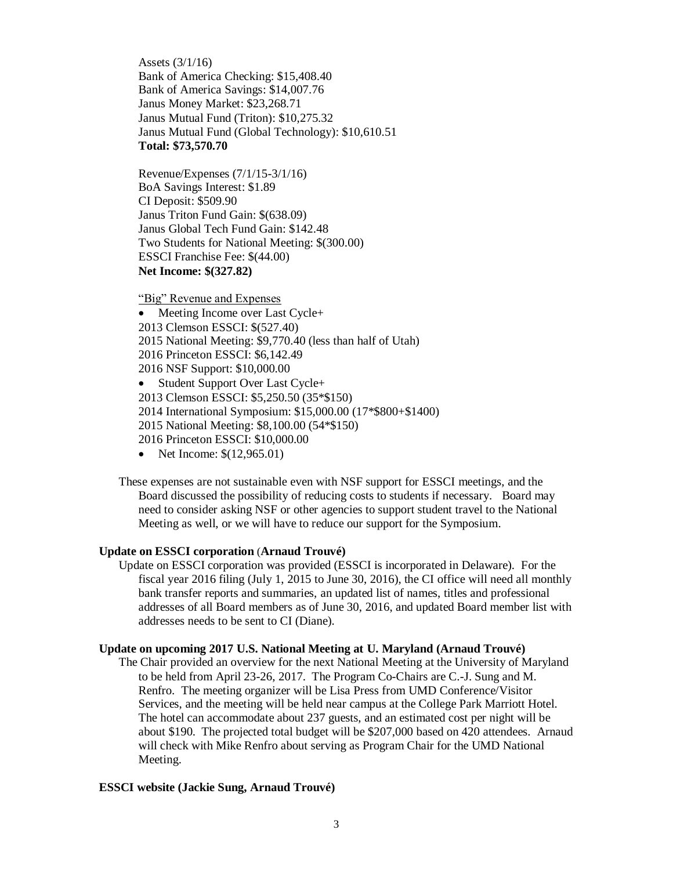Assets (3/1/16) Bank of America Checking: \$15,408.40 Bank of America Savings: \$14,007.76 Janus Money Market: \$23,268.71 Janus Mutual Fund (Triton): \$10,275.32 Janus Mutual Fund (Global Technology): \$10,610.51 **Total: \$73,570.70**

Revenue/Expenses (7/1/15-3/1/16) BoA Savings Interest: \$1.89 CI Deposit: \$509.90 Janus Triton Fund Gain: \$(638.09) Janus Global Tech Fund Gain: \$142.48 Two Students for National Meeting: \$(300.00) ESSCI Franchise Fee: \$(44.00) **Net Income: \$(327.82)**

"Big" Revenue and Expenses

• Meeting Income over Last Cycle+ 2013 Clemson ESSCI: \$(527.40) 2015 National Meeting: \$9,770.40 (less than half of Utah) 2016 Princeton ESSCI: \$6,142.49 2016 NSF Support: \$10,000.00 • Student Support Over Last Cycle+ 2013 Clemson ESSCI: \$5,250.50 (35\*\$150) 2014 International Symposium: \$15,000.00 (17\*\$800+\$1400) 2015 National Meeting: \$8,100.00 (54\*\$150) 2016 Princeton ESSCI: \$10,000.00 • Net Income:  $$(12,965.01)$ 

These expenses are not sustainable even with NSF support for ESSCI meetings, and the Board discussed the possibility of reducing costs to students if necessary. Board may need to consider asking NSF or other agencies to support student travel to the National Meeting as well, or we will have to reduce our support for the Symposium.

## **Update on ESSCI corporation** (**Arnaud Trouvé)**

Update on ESSCI corporation was provided (ESSCI is incorporated in Delaware). For the fiscal year 2016 filing (July 1, 2015 to June 30, 2016), the CI office will need all monthly bank transfer reports and summaries, an updated list of names, titles and professional addresses of all Board members as of June 30, 2016, and updated Board member list with addresses needs to be sent to CI (Diane).

## **Update on upcoming 2017 U.S. National Meeting at U. Maryland (Arnaud Trouvé)**

The Chair provided an overview for the next National Meeting at the University of Maryland to be held from April 23-26, 2017. The Program Co-Chairs are C.-J. Sung and M. Renfro. The meeting organizer will be Lisa Press from UMD Conference/Visitor Services, and the meeting will be held near campus at the College Park Marriott Hotel. The hotel can accommodate about 237 guests, and an estimated cost per night will be about \$190. The projected total budget will be \$207,000 based on 420 attendees. Arnaud will check with Mike Renfro about serving as Program Chair for the UMD National Meeting.

## **ESSCI website (Jackie Sung, Arnaud Trouvé)**